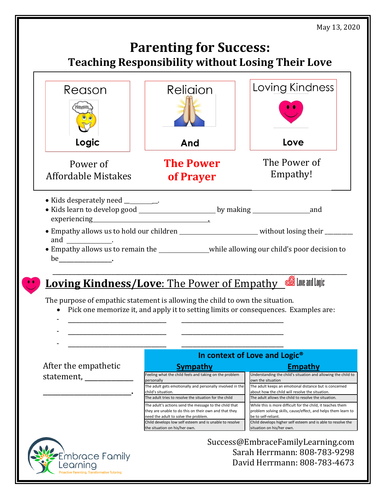May 13, 2020